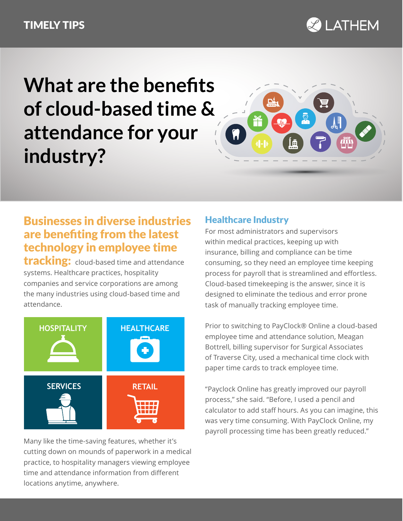### TIMELY TIPS



# **What are the benefits of cloud-based time & attendance for your industry?**



## Businesses in diverse industries are benefiting from the latest technology in employee time

**tracking:** cloud-based time and attendance systems. Healthcare practices, hospitality companies and service corporations are among the many industries using cloud-based time and attendance.



Many like the time-saving features, whether it's cutting down on mounds of paperwork in a medical practice, to hospitality managers viewing employee time and attendance information from different locations anytime, anywhere.

### Healthcare Industry

For most administrators and supervisors within medical practices, keeping up with insurance, billing and compliance can be time consuming, so they need an employee time keeping process for payroll that is streamlined and effortless. Cloud-based timekeeping is the answer, since it is designed to eliminate the tedious and error prone task of manually tracking employee time.

Prior to switching to PayClock® Online a cloud-based employee time and attendance solution, Meagan Bottrell, billing supervisor for Surgical Associates of Traverse City, used a mechanical time clock with paper time cards to track employee time.

"Payclock Online has greatly improved our payroll process," she said. "Before, I used a pencil and calculator to add staff hours. As you can imagine, this was very time consuming. With PayClock Online, my payroll processing time has been greatly reduced."